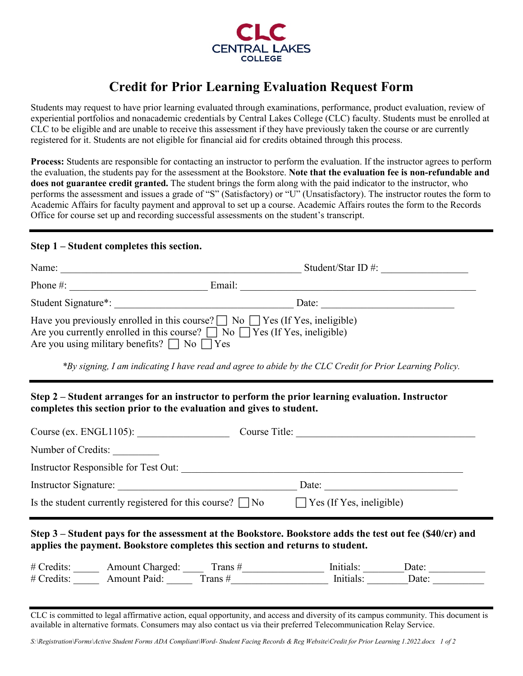

## **Credit for Prior Learning Evaluation Request Form**

Students may request to have prior learning evaluated through examinations, performance, product evaluation, review of experiential portfolios and nonacademic credentials by Central Lakes College (CLC) faculty. Students must be enrolled at CLC to be eligible and are unable to receive this assessment if they have previously taken the course or are currently registered for it. Students are not eligible for financial aid for credits obtained through this process.

**Process:** Students are responsible for contacting an instructor to perform the evaluation. If the instructor agrees to perform the evaluation, the students pay for the assessment at the Bookstore. **Note that the evaluation fee is non-refundable and does not guarantee credit granted.** The student brings the form along with the paid indicator to the instructor, who performs the assessment and issues a grade of "S" (Satisfactory) or "U" (Unsatisfactory). The instructor routes the form to Academic Affairs for faculty payment and approval to set up a course. Academic Affairs routes the form to the Records Office for course set up and recording successful assessments on the student's transcript.

## **Step 1 – Student completes this section.**

| Name:                                                                                                                                                                                                                                   | Student/Star ID $\#$ : |  |  |  |  |
|-----------------------------------------------------------------------------------------------------------------------------------------------------------------------------------------------------------------------------------------|------------------------|--|--|--|--|
| Phone $#$ :                                                                                                                                                                                                                             | Email:                 |  |  |  |  |
| Student Signature <sup>*</sup> :                                                                                                                                                                                                        | Date:                  |  |  |  |  |
| Have you previously enrolled in this course? $\Box$ No $\Box$ Yes (If Yes, ineligible)<br>Are you currently enrolled in this course? $\Box$ No $\Box$ Yes (If Yes, ineligible)<br>Are you using military benefits? $\Box$ No $\Box$ Yes |                        |  |  |  |  |

*\*By signing, I am indicating I have read and agree to abide by the CLC Credit for Prior Learning Policy.*

## **Step 2 – Student arranges for an instructor to perform the prior learning evaluation. Instructor completes this section prior to the evaluation and gives to student.**

|                                                                                                                                                                                                                                                                                                                   | Course (ex. $ENGL1105$ ):            | Course Title: |  |  |  |  |
|-------------------------------------------------------------------------------------------------------------------------------------------------------------------------------------------------------------------------------------------------------------------------------------------------------------------|--------------------------------------|---------------|--|--|--|--|
|                                                                                                                                                                                                                                                                                                                   | Number of Credits:                   |               |  |  |  |  |
|                                                                                                                                                                                                                                                                                                                   | Instructor Responsible for Test Out: |               |  |  |  |  |
| Instructor Signature:<br>Date:                                                                                                                                                                                                                                                                                    |                                      |               |  |  |  |  |
| Is the student currently registered for this course? $\Box$ No $\Box$ Yes (If Yes, ineligible)                                                                                                                                                                                                                    |                                      |               |  |  |  |  |
| Step 3 – Student pays for the assessment at the Bookstore. Bookstore adds the test out fee (\$40/cr) and<br>applies the payment. Bookstore completes this section and returns to student.<br># Credits:<br>Initials:<br>Amount Charged: Trans #<br>Date:<br>Initials:<br># Credits: Amount Paid: Trans #<br>Date: |                                      |               |  |  |  |  |
|                                                                                                                                                                                                                                                                                                                   |                                      |               |  |  |  |  |

CLC is committed to legal affirmative action, equal opportunity, and access and diversity of its campus community. This document is available in alternative formats. Consumers may also contact us via their preferred Telecommunication Relay Service.